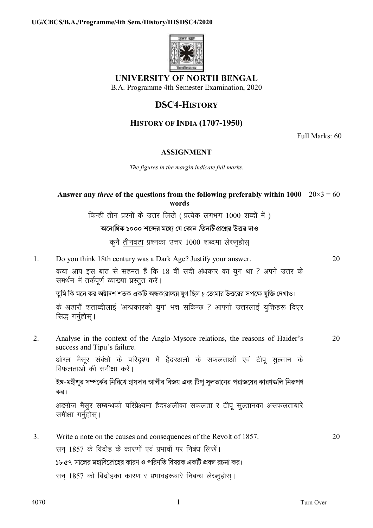

## UNIVERSITY OF NORTH BENGAL

B.A. Programme 4th Semester Examination, 2020

# **DSC4-HISTORY**

## **HISTORY OF INDIA (1707-1950)**

Full Marks: 60

### **ASSIGNMENT**

The figures in the margin indicate full marks.

### Answer any *three* of the questions from the following preferably within 1000  $20 \times 3 = 60$ words

किन्हीं तीन प्रश्नों के उत्तर लिखे (प्रत्येक लगभग 1000 शब्दों में)

#### অনোধিক ১০০০ শব্দের মধ্যে যে কোন *তিনটি* প্রশ্নের উত্তর দাও

कूनै तीनवटा प्रश्नका उत्तर 1000 शब्दमा लेख्नुहोस्

 $\mathbf{1}$ . Do you think 18th century was a Dark Age? Justify your answer. 20 कया आप इस बात से सहमत हैं कि 18 वीं सदी अंधकार का युग था ? अपने उत्तर के समर्थन में तर्कपूर्ण व्याख्या प्रस्तुत करें।

তুমি কি মনে কর অষ্টাদশ শতক একটি অন্ধকারাচ্ছন্ন যুগ ছিল ? তোমার উত্তরের সপক্ষে যুক্তি দেখাও।

के अठारौं शताब्दीलाई 'अन्धकारको युग' भन्न सकिन्छ ? आफ्नो उत्तरलाई युक्तिहरू दिएर सिद्ध गर्नुहोस्।

 $\mathfrak{D}$ Analyse in the context of the Anglo-Mysore relations, the reasons of Haider's 20 success and Tipu's failure.

आंग्ल मैसूर संबंधो के परिदृश्य में हैदरअली के सफलताओं एवं टीपू सुल्तान के विफलताओं की समीक्षा करें।

ইঙ্গ-মহীশর সম্পর্কের নিরিখে হায়দার আলীর বিজয় এবং টিপ সলতানের পরাজয়ের কারণগুলি নিরূপণ কর।

अङग्रेज मैसूर सम्बन्धको परिप्रेक्ष्यमा हैदरअलीका सफलता र टीपू सुल्तानका असफलताबारे समीक्षा गर्नुहोस्।

20  $\mathcal{E}$ Write a note on the causes and consequences of the Revolt of 1857. सन 1857 के विद्रोह के कारणों एवं प्रभावों पर निबंध लिखें।

১৮৫৭ সালের মহাবিদ্রোহের কারণ ও পরিণতি বিষয়ক একটি প্রবন্ধ রচনা কর।

सन् 1857 को बिद्रोहका कारण र प्रभावहरूबारे निबन्ध लेख्नुहोस् ।